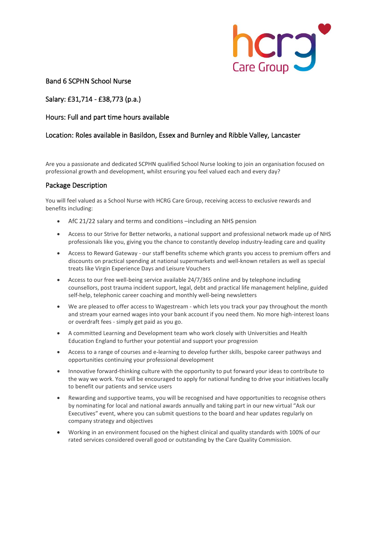

### Band 6 SCPHN School Nurse

# Salary: £31,714 - £38,773 (p.a.)

#### Hours: Full and part time hours available

#### Location: Roles available in Basildon, Essex and Burnley and Ribble Valley, Lancaster

Are you a passionate and dedicated SCPHN qualified School Nurse looking to join an organisation focused on professional growth and development, whilst ensuring you feel valued each and every day?

#### Package Description

You will feel valued as a School Nurse with HCRG Care Group, receiving access to exclusive rewards and benefits including:

- AfC 21/22 salary and terms and conditions –including an NHS pension
- Access to our Strive for Better networks, a national support and professional network made up of NHS professionals like you, giving you the chance to constantly develop industry-leading care and quality
- Access to Reward Gateway our staff benefits scheme which grants you access to premium offers and discounts on practical spending at national supermarkets and well-known retailers as well as special treats like Virgin Experience Days and Leisure Vouchers
- Access to our free well-being service available 24/7/365 online and by telephone including counsellors, post trauma incident support, legal, debt and practical life management helpline, guided self-help, telephonic career coaching and monthly well-being newsletters
- We are pleased to offer access to Wagestream which lets you track your pay throughout the month and stream your earned wages into your bank account if you need them. No more high-interest loans or overdraft fees - simply get paid as you go.
- A committed Learning and Development team who work closely with Universities and Health Education England to further your potential and support your progression
- Access to a range of courses and e-learning to develop further skills, bespoke career pathways and opportunities continuing your professional development
- Innovative forward-thinking culture with the opportunity to put forward your ideas to contribute to the way we work. You will be encouraged to apply for national funding to drive your initiatives locally to benefit our patients and service users
- Rewarding and supportive teams, you will be recognised and have opportunities to recognise others by nominating for local and national awards annually and taking part in our new virtual "Ask our Executives" event, where you can submit questions to the board and hear updates regularly on company strategy and objectives
- Working in an environment focused on the highest clinical and quality standards with 100% of our rated services considered overall good or outstanding by the Care Quality Commission.